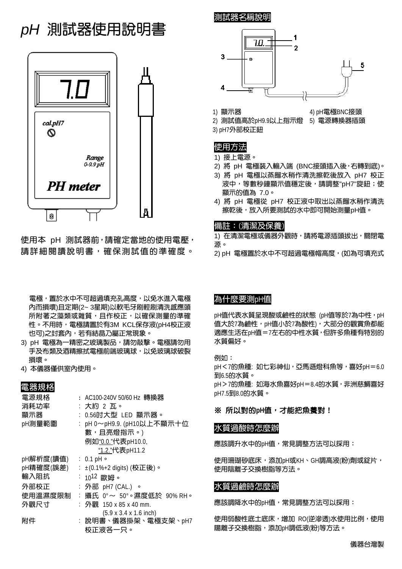# *pH* 測試器使用說明書



使用本 pH 測試器前,請確定當地的使用電壓, 請詳細閱讀說明書,確保測試值的準確度。

電極,置於水中不可超過填充孔高度,以免水進入電極 內而損壞)且定期(2~ 3星期)以軟毛牙刷輕刷清洗感應頭 所附著之藻類或雜質,且作校正,以確保測量的準確 性。不用時,電極請置於有3M KCL保存液(pH4校正液 也可)之封套內,若有結晶乃屬正常現象。

- 3) pH 電極為一精密之玻璃製品,請勿敲擊。電極請勿用 手及布類及酒精擦拭電極前端玻璃球,以免玻璃球破裂 損壞。
- 4) 本儀器僅供室內使用。

# 電器規格

| 電源規格      |    | : AC100-240V 50/60 Hz 轉換器                  |
|-----------|----|--------------------------------------------|
| 消耗功率      |    | : 大約 2 瓦。                                  |
| 顯示器       |    | : 0.56吋大型 LED 顯示器。                         |
| pH測量範圍    |    | : pH 0~pH9.9. (pH10以上不顯示十位                 |
|           |    | 數,且亮燈指示。)                                  |
|           |    | 例如"0.0."代表pH10.0,                          |
|           |    | "1.2."代表pH11.2                             |
| pH解析度(讀值) |    | $: 0.1$ pH $\circ$                         |
| pH精確度(誤差) |    | : ±(0.1%+2 digits) (校正後)。                  |
| 輸入阻抗      |    | $: 10^{12}$ 歐姆。                            |
| 外部校正      |    | : 外部    pH7 (CAL.) 。                       |
| 使用溫濕度限制   | t. | 攝氏 0°~ 50°。濕度低於 90% RH。                    |
| 外觀尺寸      |    | : 外觀 150 x 85 x 40 mm.                     |
|           |    | $(5.9 \times 3.4 \times 1.6 \text{ inch})$ |
| 附件        |    | : 說明書、儀器掛架、電極支架、pH7                        |
|           |    | 校正液各一只。                                    |

測試器名稱說明



1) 顯示器 インスタンド インタン 4) pH電極BNC接頭

2) 測試值高於pH9.9以上指示燈 5) 電源轉換器插頭

3) pH7外部校正鈕

#### 使用方法

1) 接上電源。

- 2) 將 pH 電極裝入輸入端 (BNC接頭插入後,右轉到底)。
- 3) 將 pH 電極以蒸餾水稍作清洗擦乾後放入 pH7 校正 液中,等數秒鐘顯示值穩定後,請調整"pH7"旋鈕;使 顯示的值為 7.0。
- 4) 將 pH 電極從 pH7 校正液中取出以蒸餾水稍作清洗 擦乾後,放入所要測試的水中即可開始測量pH值。

#### 備註:(清潔及保養)

1) 在清潔電極或儀器外觀時,請將電源插頭拔出,關閉電 源。

2) pH 電極置於水中不可超過電極帽高度, (如為可填充式

# 為什麼要測pH值

pH值代表水質呈現酸或鹼性的狀態 (pH值等於7為中性, pH 值大於7為鹼性,pH值小於7為酸性),大部分的觀賞魚都能 適應生活在pH值=7左右的中性水質,但許多魚種有特別的 水質偏好。

例如: pH<7的魚種: 如七彩神仙,亞馬遜燈科魚等,喜好pH=6.0 到6.5的水質。 pH > 7的魚種: 如海水魚喜好pH = 8.4的水質, 非洲慈鯛喜好 pH7.5到8.0的水質。

#### ※ 所以對的**pH**值,才能把魚養對!

#### 水質過酸時怎麼辦

應該調升水中的pH值,常見調整方法可以採用:

使用珊瑚砂底床,添加pH或KH、GH調高液(粉)劑或錠片, 使用陰離子交換樹脂等方法。

#### 水質過鹼時怎麼辦

應該調降水中的pH值,常見調整方法可以採用:

使用弱酸性底土底床, 增加 RO(逆滲透)水使用比例, 使用 陽離子交換樹脂,添加pH調低液(粉)等方法。